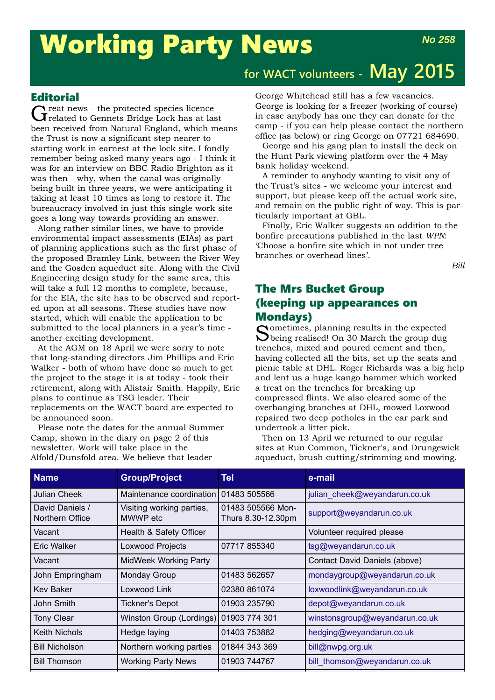# Working Party News

## **for WACT volunteers - May 2015**

#### **Editorial**

Great news - the protected species licence<br>Greated to Gennets Bridge Lock has at last been received from Natural England, which means the Trust is now a significant step nearer to starting work in earnest at the lock site. I fondly remember being asked many years ago - I think it was for an interview on BBC Radio Brighton as it was then - why, when the canal was originally being built in three years, we were anticipating it taking at least 10 times as long to restore it. The bureaucracy involved in just this single work site goes a long way towards providing an answer.

Along rather similar lines, we have to provide environmental impact assessments (EIAs) as part of planning applications such as the first phase of the proposed Bramley Link, between the River Wey and the Gosden aqueduct site. Along with the Civil Engineering design study for the same area, this will take a full 12 months to complete, because, for the EIA, the site has to be observed and reported upon at all seasons. These studies have now started, which will enable the application to be submitted to the local planners in a year's time another exciting development.

At the AGM on 18 April we were sorry to note that long-standing directors Jim Phillips and Eric Walker - both of whom have done so much to get the project to the stage it is at today - took their retirement, along with Alistair Smith. Happily, Eric plans to continue as TSG leader. Their replacements on the WACT board are expected to be announced soon.

Please note the dates for the annual Summer Camp, shown in the diary on page 2 of this newsletter. Work will take place in the Alfold/Dunsfold area. We believe that leader

George Whitehead still has a few vacancies. George is looking for a freezer (working of course) in case anybody has one they can donate for the camp - if you can help please contact the northern office (as below) or ring George on 07721 684690.

George and his gang plan to install the deck on the Hunt Park viewing platform over the 4 May bank holiday weekend.

A reminder to anybody wanting to visit any of the Trust's sites - we welcome your interest and support, but please keep off the actual work site, and remain on the public right of way. This is particularly important at GBL.

Finally, Eric Walker suggests an addition to the bonfire precautions published in the last *WPN*: 'Choose a bonfire site which in not under tree branches or overhead lines'.

*Bill*

### The Mrs Bucket Group (keeping up appearances on Mondays)

Sometimes, planning results in the expected D being realised! On 30 March the group dug trenches, mixed and poured cement and then, having collected all the bits, set up the seats and picnic table at DHL. Roger Richards was a big help and lent us a huge kango hammer which worked a treat on the trenches for breaking up compressed flints. We also cleared some of the overhanging branches at DHL, mowed Loxwood repaired two deep potholes in the car park and undertook a litter pick.

Then on 13 April we returned to our regular sites at Run Common, Tickner's, and Drungewick aqueduct, brush cutting/strimming and mowing.

| <b>Name</b>                        | <b>Group/Project</b>                    | <b>Tel</b>                              | e-mail                         |
|------------------------------------|-----------------------------------------|-----------------------------------------|--------------------------------|
| Julian Cheek                       | Maintenance coordination   01483 505566 |                                         | julian_cheek@weyandarun.co.uk  |
| David Daniels /<br>Northern Office | Visiting working parties,<br>MWWP etc   | 01483 505566 Mon-<br>Thurs 8.30-12.30pm | support@weyandarun.co.uk       |
| Vacant                             | Health & Safety Officer                 |                                         | Volunteer required please      |
| <b>Eric Walker</b>                 | Loxwood Projects                        | 07717855340                             | tsg@weyandarun.co.uk           |
| Vacant                             | MidWeek Working Party                   |                                         | Contact David Daniels (above)  |
| John Empringham                    | <b>Monday Group</b>                     | 01483 562657                            | mondaygroup@weyandarun.co.uk   |
| <b>Kev Baker</b>                   | Loxwood Link                            | 02380 861074                            | loxwoodlink@weyandarun.co.uk   |
| John Smith                         | <b>Tickner's Depot</b>                  | 01903 235790                            | depot@weyandarun.co.uk         |
| <b>Tony Clear</b>                  | Winston Group (Lordings) 01903 774 301  |                                         | winstonsgroup@weyandarun.co.uk |
| <b>Keith Nichols</b>               | Hedge laying                            | 01403 753882                            | hedging@weyandarun.co.uk       |
| <b>Bill Nicholson</b>              | Northern working parties                | 01844 343 369                           | bill@nwpg.org.uk               |
| <b>Bill Thomson</b>                | <b>Working Party News</b>               | 01903 744767                            | bill thomson@weyandarun.co.uk  |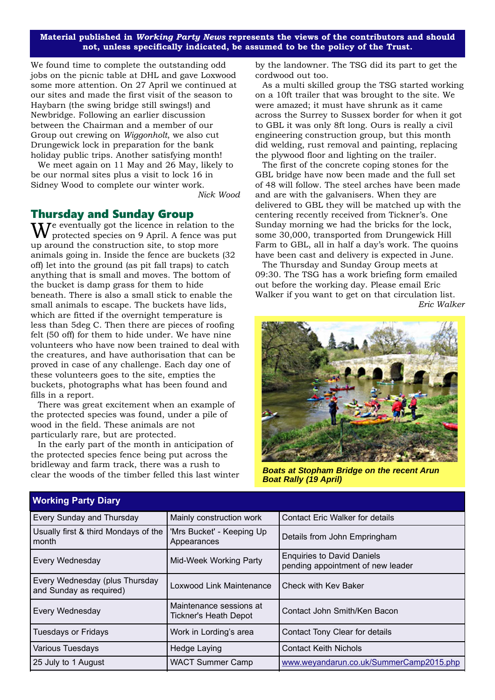**Material published in** *Working Party News* **represents the views of the contributors and should not, unless specifically indicated, be assumed to be the policy of the Trust.**

We found time to complete the outstanding odd jobs on the picnic table at DHL and gave Loxwood some more attention. On 27 April we continued at our sites and made the first visit of the season to Haybarn (the swing bridge still swings!) and Newbridge. Following an earlier discussion between the Chairman and a member of our Group out crewing on *Wiggonholt*, we also cut Drungewick lock in preparation for the bank holiday public trips. Another satisfying month!

We meet again on 11 May and 26 May, likely to be our normal sites plus a visit to lock 16 in Sidney Wood to complete our winter work.

*Nick Wood*

#### Thursday and Sunday Group

 $\mathbf{W}^\text{e}$  eventually got the licence in relation to the protected species on 9 April. A fence was put up around the construction site, to stop more animals going in. Inside the fence are buckets (32 off) let into the ground (as pit fall traps) to catch anything that is small and moves. The bottom of the bucket is damp grass for them to hide beneath. There is also a small stick to enable the small animals to escape. The buckets have lids, which are fitted if the overnight temperature is less than 5deg C. Then there are pieces of roofing felt (50 off) for them to hide under. We have nine volunteers who have now been trained to deal with the creatures, and have authorisation that can be proved in case of any challenge. Each day one of these volunteers goes to the site, empties the buckets, photographs what has been found and fills in a report.

There was great excitement when an example of the protected species was found, under a pile of wood in the field. These animals are not particularly rare, but are protected.

In the early part of the month in anticipation of the protected species fence being put across the bridleway and farm track, there was a rush to clear the woods of the timber felled this last winter by the landowner. The TSG did its part to get the cordwood out too.

As a multi skilled group the TSG started working on a 10ft trailer that was brought to the site. We were amazed; it must have shrunk as it came across the Surrey to Sussex border for when it got to GBL it was only 8ft long. Ours is really a civil engineering construction group, but this month did welding, rust removal and painting, replacing the plywood floor and lighting on the trailer.

The first of the concrete coping stones for the GBL bridge have now been made and the full set of 48 will follow. The steel arches have been made and are with the galvanisers. When they are delivered to GBL they will be matched up with the centering recently received from Tickner's. One Sunday morning we had the bricks for the lock, some 30,000, transported from Drungewick Hill Farm to GBL, all in half a day's work. The quoins have been cast and delivery is expected in June.

The Thursday and Sunday Group meets at 09:30. The TSG has a work briefing form emailed out before the working day. Please email Eric Walker if you want to get on that circulation list. *Eric Walker*



*Boats at Stopham Bridge on the recent Arun Boat Rally (19 April)*

| Working Party Diary                                       |                                                  |                                                                        |  |  |
|-----------------------------------------------------------|--------------------------------------------------|------------------------------------------------------------------------|--|--|
| Every Sunday and Thursday                                 | Mainly construction work                         | <b>Contact Eric Walker for details</b>                                 |  |  |
| Usually first & third Mondays of the<br>month             | 'Mrs Bucket' - Keeping Up<br>Appearances         | Details from John Empringham                                           |  |  |
| Every Wednesday                                           | Mid-Week Working Party                           | <b>Enquiries to David Daniels</b><br>pending appointment of new leader |  |  |
| Every Wednesday (plus Thursday<br>and Sunday as required) | Loxwood Link Maintenance                         | Check with Key Baker                                                   |  |  |
| Every Wednesday                                           | Maintenance sessions at<br>Tickner's Heath Depot | Contact John Smith/Ken Bacon                                           |  |  |
| <b>Tuesdays or Fridays</b>                                | Work in Lording's area                           | Contact Tony Clear for details                                         |  |  |
| Various Tuesdays                                          | Hedge Laying                                     | <b>Contact Keith Nichols</b>                                           |  |  |
| 25 July to 1 August                                       | <b>WACT Summer Camp</b>                          | www.weyandarun.co.uk/SummerCamp2015.php                                |  |  |
|                                                           |                                                  |                                                                        |  |  |

#### **Working Party Diary**